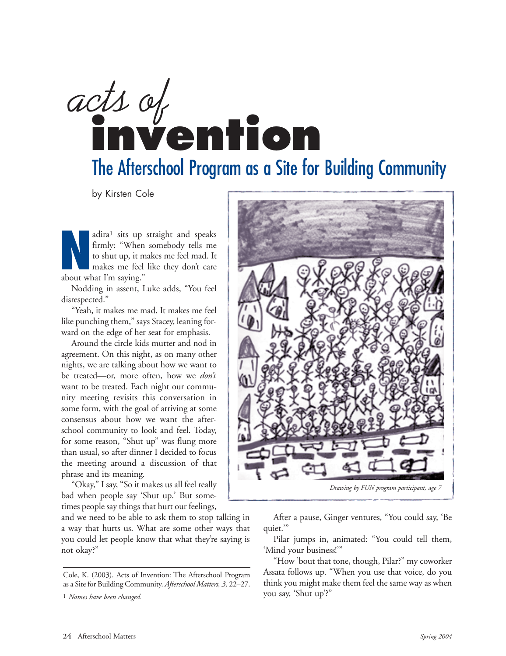# The Afterschool Program as a Site for Building Community *acts of*  **invention**

by Kirsten Cole

adira<sup>1</sup> sits up straight and speaks<br>firmly: "When somebody tells me<br>to shut up, it makes me feel mad. It<br>makes me feel like they don't care<br>about what I'm saying." firmly: "When somebody tells me to shut up, it makes me feel mad. It makes me feel like they don't care about what I'm saying."

Nodding in assent, Luke adds, "You feel disrespected."

"Yeah, it makes me mad. It makes me feel like punching them," says Stacey, leaning forward on the edge of her seat for emphasis.

Around the circle kids mutter and nod in agreement. On this night, as on many other nights, we are talking about how we want to be treated—or, more often, how we *don't* want to be treated. Each night our community meeting revisits this conversation in some form, with the goal of arriving at some consensus about how we want the afterschool community to look and feel. Today, for some reason, "Shut up" was flung more than usual, so after dinner I decided to focus the meeting around a discussion of that phrase and its meaning.

"Okay," I say, "So it makes us all feel really bad when people say 'Shut up.' But sometimes people say things that hurt our feelings,

and we need to be able to ask them to stop talking in a way that hurts us. What are some other ways that you could let people know that what they're saying is not okay?"



After a pause, Ginger ventures, "You could say, 'Be quiet.'"

Pilar jumps in, animated: "You could tell them, 'Mind your business!'"

"How 'bout that tone, though, Pilar?" my coworker Assata follows up. "When you use that voice, do you think you might make them feel the same way as when you say, 'Shut up'?"

Cole, K. (2003). Acts of Invention: The Afterschool Program as a Site for Building Community. *Afterschool Matters, 3,* 22–27.

<sup>1</sup> *Names have been changed.*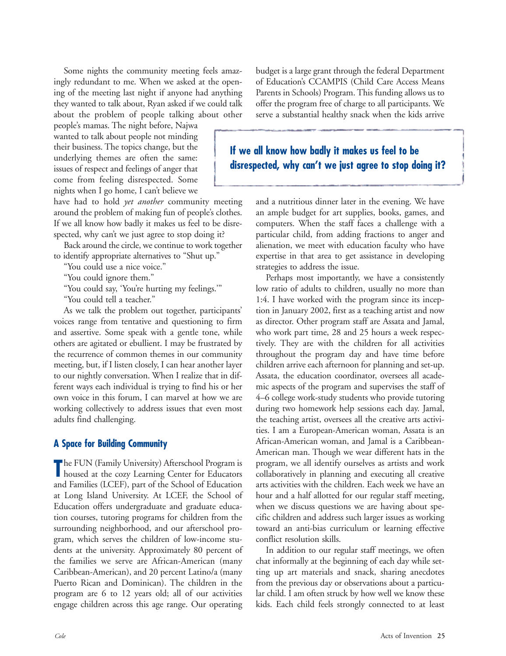Some nights the community meeting feels amazingly redundant to me. When we asked at the opening of the meeting last night if anyone had anything they wanted to talk about, Ryan asked if we could talk about the problem of people talking about other

people's mamas. The night before, Najwa wanted to talk about people not minding their business. The topics change, but the underlying themes are often the same: issues of respect and feelings of anger that come from feeling disrespected. Some nights when I go home, I can't believe we

have had to hold *yet another* community meeting around the problem of making fun of people's clothes. If we all know how badly it makes us feel to be disrespected, why can't we just agree to stop doing it?

Back around the circle, we continue to work together to identify appropriate alternatives to "Shut up."

"You could use a nice voice."

"You could ignore them."

"You could say, 'You're hurting my feelings.'"

"You could tell a teacher."

As we talk the problem out together, participants' voices range from tentative and questioning to firm and assertive. Some speak with a gentle tone, while others are agitated or ebullient. I may be frustrated by the recurrence of common themes in our community meeting, but, if I listen closely, I can hear another layer to our nightly conversation. When I realize that in different ways each individual is trying to find his or her own voice in this forum, I can marvel at how we are working collectively to address issues that even most adults find challenging.

#### **A Space for Building Community**

The FUN (Family University) Afterschool Program is<br>
housed at the cozy Learning Center for Educators he FUN (Family University) Afterschool Program is and Families (LCEF), part of the School of Education at Long Island University. At LCEF, the School of Education offers undergraduate and graduate education courses, tutoring programs for children from the surrounding neighborhood, and our afterschool program, which serves the children of low-income students at the university. Approximately 80 percent of the families we serve are African-American (many Caribbean-American), and 20 percent Latino/a (many Puerto Rican and Dominican). The children in the program are 6 to 12 years old; all of our activities engage children across this age range. Our operating

budget is a large grant through the federal Department of Education's CCAMPIS (Child Care Access Means Parents in Schools) Program. This funding allows us to offer the program free of charge to all participants. We serve a substantial healthy snack when the kids arrive

## **If we all know how badly it makes us feel to be disrespected, why can't we just agree to stop doing it?**

and a nutritious dinner later in the evening. We have an ample budget for art supplies, books, games, and computers. When the staff faces a challenge with a particular child, from adding fractions to anger and alienation, we meet with education faculty who have expertise in that area to get assistance in developing strategies to address the issue.

Perhaps most importantly, we have a consistently low ratio of adults to children, usually no more than 1:4. I have worked with the program since its inception in January 2002, first as a teaching artist and now as director. Other program staff are Assata and Jamal, who work part time, 28 and 25 hours a week respectively. They are with the children for all activities throughout the program day and have time before children arrive each afternoon for planning and set-up. Assata, the education coordinator, oversees all academic aspects of the program and supervises the staff of 4–6 college work-study students who provide tutoring during two homework help sessions each day. Jamal, the teaching artist, oversees all the creative arts activities. I am a European-American woman, Assata is an African-American woman, and Jamal is a Caribbean-American man. Though we wear different hats in the program, we all identify ourselves as artists and work collaboratively in planning and executing all creative arts activities with the children. Each week we have an hour and a half allotted for our regular staff meeting, when we discuss questions we are having about specific children and address such larger issues as working toward an anti-bias curriculum or learning effective conflict resolution skills.

In addition to our regular staff meetings, we often chat informally at the beginning of each day while setting up art materials and snack, sharing anecdotes from the previous day or observations about a particular child. I am often struck by how well we know these kids. Each child feels strongly connected to at least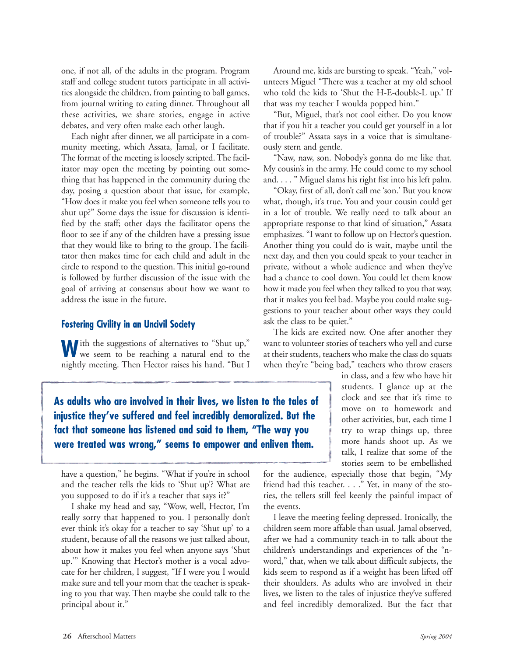one, if not all, of the adults in the program. Program staff and college student tutors participate in all activities alongside the children, from painting to ball games, from journal writing to eating dinner. Throughout all these activities, we share stories, engage in active debates, and very often make each other laugh.

Each night after dinner, we all participate in a community meeting, which Assata, Jamal, or I facilitate. The format of the meeting is loosely scripted. The facilitator may open the meeting by pointing out something that has happened in the community during the day, posing a question about that issue, for example, "How does it make you feel when someone tells you to shut up?" Some days the issue for discussion is identified by the staff; other days the facilitator opens the floor to see if any of the children have a pressing issue that they would like to bring to the group. The facilitator then makes time for each child and adult in the circle to respond to the question. This initial go-round is followed by further discussion of the issue with the goal of arriving at consensus about how we want to address the issue in the future.

#### **Fostering Civility in an Uncivil Society**

**W**ith the suggestions of alternatives to "Shut up," we seem to be reaching a natural end to the nightly meeting. Then Hector raises his hand. "But I

**As adults who are involved in their lives, we listen to the tales of injustice they've suffered and feel incredibly demoralized. But the fact that someone has listened and said to them, "The way you were treated was wrong," seems to empower and enliven them.**

have a question," he begins. "What if you're in school and the teacher tells the kids to 'Shut up'? What are you supposed to do if it's a teacher that says it?"

I shake my head and say, "Wow, well, Hector, I'm really sorry that happened to you. I personally don't ever think it's okay for a teacher to say 'Shut up' to a student, because of all the reasons we just talked about, about how it makes you feel when anyone says 'Shut up.'" Knowing that Hector's mother is a vocal advocate for her children, I suggest, "If I were you I would make sure and tell your mom that the teacher is speaking to you that way. Then maybe she could talk to the principal about it."

Around me, kids are bursting to speak. "Yeah," volunteers Miguel "There was a teacher at my old school who told the kids to 'Shut the H-E-double-L up.' If that was my teacher I woulda popped him."

"But, Miguel, that's not cool either. Do you know that if you hit a teacher you could get yourself in a lot of trouble?" Assata says in a voice that is simultaneously stern and gentle.

"Naw, naw, son. Nobody's gonna do me like that. My cousin's in the army. He could come to my school and. . . . " Miguel slams his right fist into his left palm.

"Okay, first of all, don't call me 'son.' But you know what, though, it's true. You and your cousin could get in a lot of trouble. We really need to talk about an appropriate response to that kind of situation," Assata emphasizes. "I want to follow up on Hector's question. Another thing you could do is wait, maybe until the next day, and then you could speak to your teacher in private, without a whole audience and when they've had a chance to cool down. You could let them know how it made you feel when they talked to you that way, that it makes you feel bad. Maybe you could make suggestions to your teacher about other ways they could ask the class to be quiet."

The kids are excited now. One after another they want to volunteer stories of teachers who yell and curse at their students, teachers who make the class do squats when they're "being bad," teachers who throw erasers

> in class, and a few who have hit students. I glance up at the clock and see that it's time to move on to homework and other activities, but, each time I try to wrap things up, three more hands shoot up. As we talk, I realize that some of the stories seem to be embellished

for the audience, especially those that begin, "My friend had this teacher. . . ." Yet, in many of the stories, the tellers still feel keenly the painful impact of the events.

I leave the meeting feeling depressed. Ironically, the children seem more affable than usual. Jamal observed, after we had a community teach-in to talk about the children's understandings and experiences of the "nword," that, when we talk about difficult subjects, the kids seem to respond as if a weight has been lifted off their shoulders. As adults who are involved in their lives, we listen to the tales of injustice they've suffered and feel incredibly demoralized. But the fact that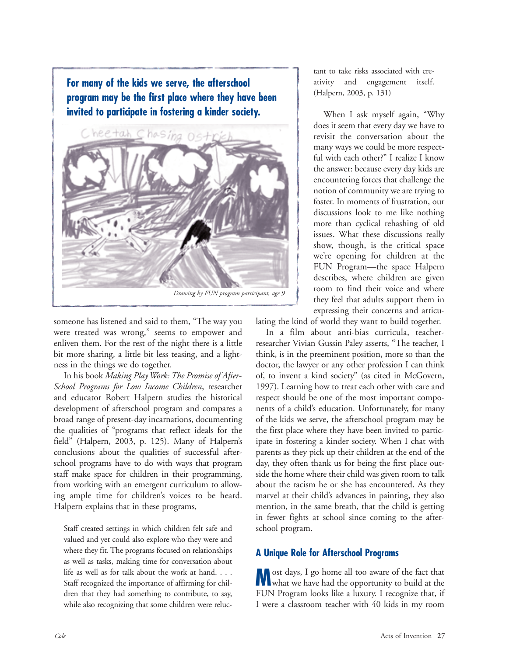**For many of the kids we serve, the afterschool program may be the first place where they have been invited to participate in fostering a kinder society.**



someone has listened and said to them, "The way you were treated was wrong," seems to empower and enliven them. For the rest of the night there is a little bit more sharing, a little bit less teasing, and a lightness in the things we do together.

In his book *Making Play Work: The Promise of After-School Programs for Low Income Children*, researcher and educator Robert Halpern studies the historical development of afterschool program and compares a broad range of present-day incarnations, documenting the qualities of "programs that reflect ideals for the field" (Halpern, 2003, p. 125). Many of Halpern's conclusions about the qualities of successful afterschool programs have to do with ways that program staff make space for children in their programming, from working with an emergent curriculum to allowing ample time for children's voices to be heard. Halpern explains that in these programs,

Staff created settings in which children felt safe and valued and yet could also explore who they were and where they fit. The programs focused on relationships as well as tasks, making time for conversation about life as well as for talk about the work at hand. . . . Staff recognized the importance of affirming for children that they had something to contribute, to say, while also recognizing that some children were reluctant to take risks associated with creativity and engagement itself. (Halpern, 2003, p. 131)

When I ask myself again, "Why does it seem that every day we have to revisit the conversation about the many ways we could be more respectful with each other?" I realize I know the answer: because every day kids are encountering forces that challenge the notion of community we are trying to foster. In moments of frustration, our discussions look to me like nothing more than cyclical rehashing of old issues. What these discussions really show, though, is the critical space we're opening for children at the FUN Program—the space Halpern describes, where children are given room to find their voice and where they feel that adults support them in expressing their concerns and articu-

lating the kind of world they want to build together.

In a film about anti-bias curricula, teacherresearcher Vivian Gussin Paley asserts, "The teacher, I think, is in the preeminent position, more so than the doctor, the lawyer or any other profession I can think of, to invent a kind society" (as cited in McGovern, 1997). Learning how to treat each other with care and respect should be one of the most important components of a child's education. Unfortunately, **f**or many of the kids we serve, the afterschool program may be the first place where they have been invited to participate in fostering a kinder society. When I chat with parents as they pick up their children at the end of the day, they often thank us for being the first place outside the home where their child was given room to talk about the racism he or she has encountered. As they marvel at their child's advances in painting, they also mention, in the same breath, that the child is getting in fewer fights at school since coming to the afterschool program.

### **A Unique Role for Afterschool Programs**

**M**ost days, I go home all too aware of the fact that what we have had the opportunity to build at the FUN Program looks like a luxury. I recognize that, if I were a classroom teacher with 40 kids in my room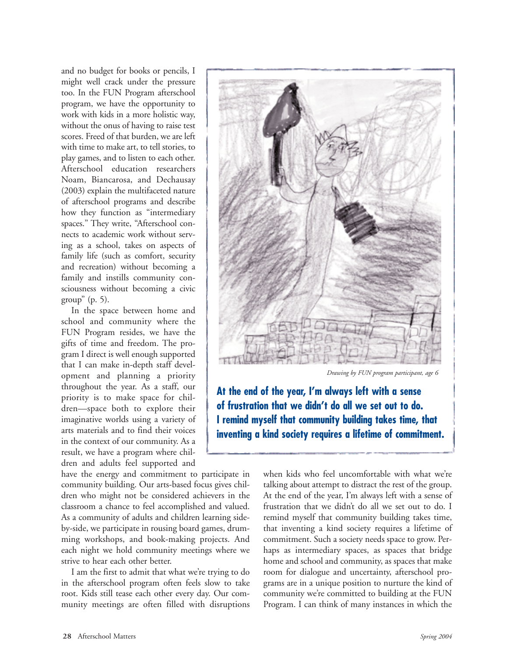and no budget for books or pencils, I might well crack under the pressure too. In the FUN Program afterschool program, we have the opportunity to work with kids in a more holistic way, without the onus of having to raise test scores. Freed of that burden, we are left with time to make art, to tell stories, to play games, and to listen to each other. Afterschool education researchers Noam, Biancarosa, and Dechausay (2003) explain the multifaceted nature of afterschool programs and describe how they function as "intermediary spaces." They write, "Afterschool connects to academic work without serving as a school, takes on aspects of family life (such as comfort, security and recreation) without becoming a family and instills community consciousness without becoming a civic group" (p. 5).

In the space between home and school and community where the FUN Program resides, we have the gifts of time and freedom. The program I direct is well enough supported that I can make in-depth staff development and planning a priority throughout the year. As a staff, our priority is to make space for children—space both to explore their imaginative worlds using a variety of arts materials and to find their voices in the context of our community. As a result, we have a program where children and adults feel supported and

have the energy and commitment to participate in community building. Our arts-based focus gives children who might not be considered achievers in the classroom a chance to feel accomplished and valued. As a community of adults and children learning sideby-side, we participate in rousing board games, drumming workshops, and book-making projects. And each night we hold community meetings where we strive to hear each other better.

I am the first to admit that what we're trying to do in the afterschool program often feels slow to take root. Kids still tease each other every day. Our community meetings are often filled with disruptions



*Drawing by FUN program participant, age 6*

**At the end of the year, I'm always left with a sense of frustration that we didn't do all we set out to do. I remind myself that community building takes time, that inventing a kind society requires a lifetime of commitment.** 

> when kids who feel uncomfortable with what we're talking about attempt to distract the rest of the group. At the end of the year, I'm always left with a sense of frustration that we didn't do all we set out to do. I remind myself that community building takes time, that inventing a kind society requires a lifetime of commitment. Such a society needs space to grow. Perhaps as intermediary spaces, as spaces that bridge home and school and community, as spaces that make room for dialogue and uncertainty, afterschool programs are in a unique position to nurture the kind of community we're committed to building at the FUN Program. I can think of many instances in which the